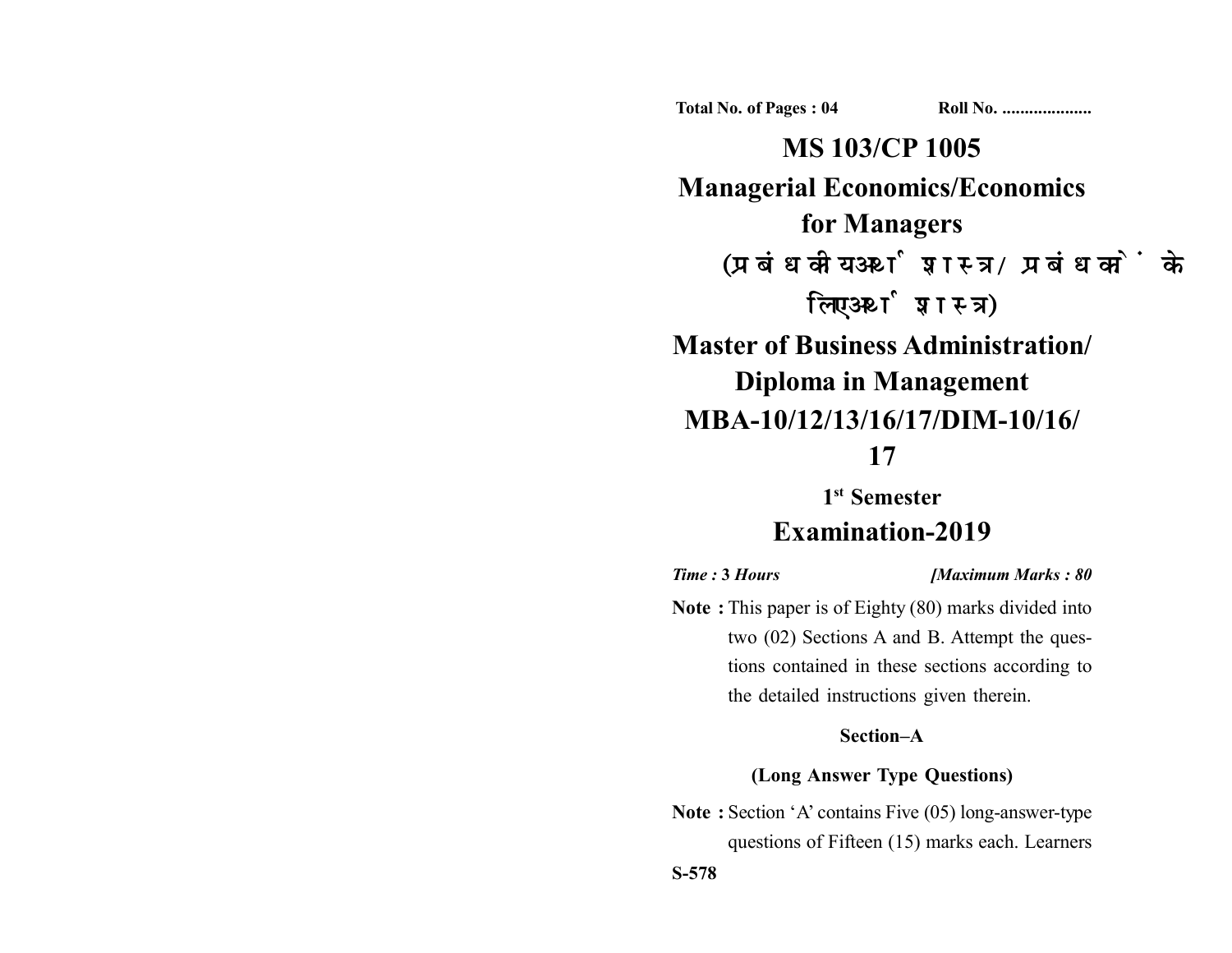**Total No. of Pages : 04 Roll No. ...................** 

**MS 103/CP 1005 Managerial Economics/Economics for Managers** (प्रबंधकीय अर्थशास्त्र/प्रबंधकों के लिए अर्थशास्त्र)

# **Master of Business Administration/ Diploma in Management MBA-10/12/13/16/17/DIM-10/16/ 17**

# **1st Semester Examination-2019**

*Time :* **3** *Hours [Maximum Marks : 80*

**Note :** This paper is of Eighty (80) marks divided into two (02) Sections A and B. Attempt the questions contained in these sections according to the detailed instructions given therein.

## **Section–A**

#### **(Long Answer Type Questions)**

**Note :** Section 'A' contains Five (05) long-answer-type questions of Fifteen (15) marks each. Learners